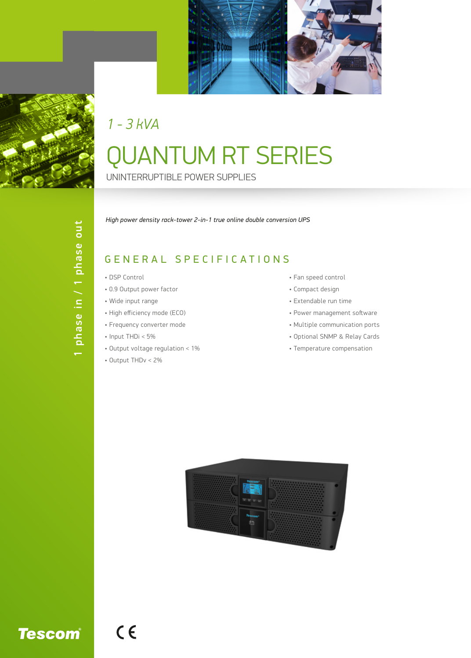

## QUANTUM RT SERIES UNINTERRUPTIBLE POWER SUPPLIES *1 - 3 kVA*

*High power density rack-tower 2-in-1 true online double conversion UPS*

## GENERAL SPECIFICATIONS

- DSP Control
- 0.9 Output power factor
- Wide input range
- High efficiency mode (ECO)
- Frequency converter mode
- Input THDi < 5%
- Output voltage regulation < 1%
- Output THDv < 2%

 $C<sub>6</sub>$ 

- Fan speed control
- Compact design
- Extendable run time
- Power management software
- Multiple communication ports
- Optional SNMP & Relay Cards
- Temperature compensation